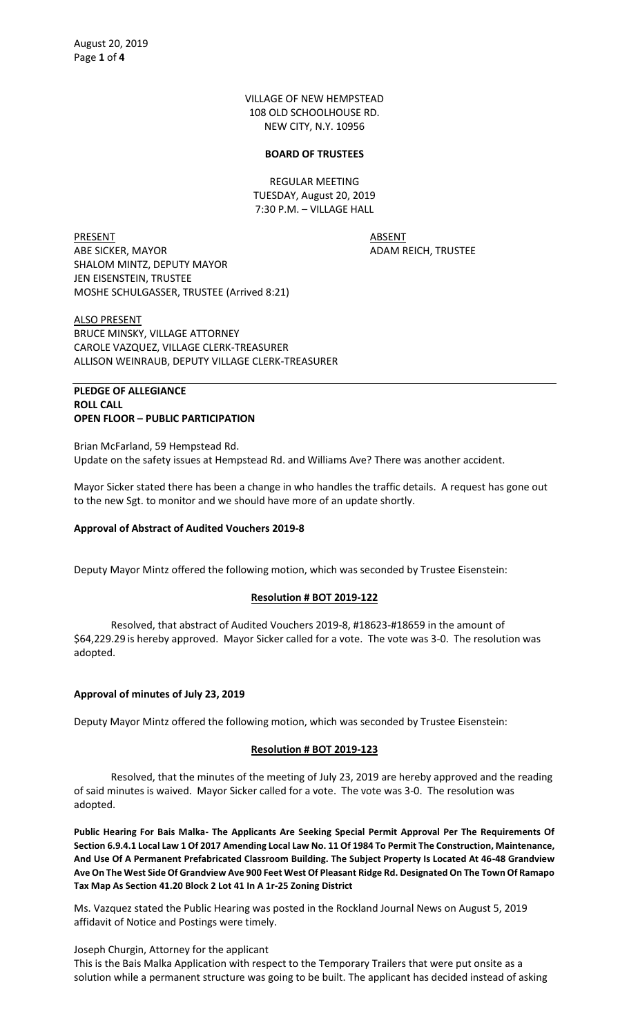VILLAGE OF NEW HEMPSTEAD 108 OLD SCHOOLHOUSE RD. NEW CITY, N.Y. 10956

#### **BOARD OF TRUSTEES**

REGULAR MEETING TUESDAY, August 20, 2019 7:30 P.M. – VILLAGE HALL

PRESENT ABSENT ABE SICKER, MAYOR ADAM REICH, TRUSTEE SHALOM MINTZ, DEPUTY MAYOR JEN EISENSTEIN, TRUSTEE MOSHE SCHULGASSER, TRUSTEE (Arrived 8:21)

ALSO PRESENT BRUCE MINSKY, VILLAGE ATTORNEY CAROLE VAZQUEZ, VILLAGE CLERK-TREASURER ALLISON WEINRAUB, DEPUTY VILLAGE CLERK-TREASURER

### **PLEDGE OF ALLEGIANCE ROLL CALL OPEN FLOOR – PUBLIC PARTICIPATION**

Brian McFarland, 59 Hempstead Rd. Update on the safety issues at Hempstead Rd. and Williams Ave? There was another accident.

Mayor Sicker stated there has been a change in who handles the traffic details. A request has gone out to the new Sgt. to monitor and we should have more of an update shortly.

## **Approval of Abstract of Audited Vouchers 2019-8**

Deputy Mayor Mintz offered the following motion, which was seconded by Trustee Eisenstein:

## **Resolution # BOT 2019-122**

Resolved, that abstract of Audited Vouchers 2019-8, #18623-#18659 in the amount of \$64,229.29 is hereby approved. Mayor Sicker called for a vote. The vote was 3-0. The resolution was adopted.

## **Approval of minutes of July 23, 2019**

Deputy Mayor Mintz offered the following motion, which was seconded by Trustee Eisenstein:

## **Resolution # BOT 2019-123**

Resolved, that the minutes of the meeting of July 23, 2019 are hereby approved and the reading of said minutes is waived. Mayor Sicker called for a vote. The vote was 3-0. The resolution was adopted.

**Public Hearing For Bais Malka- The Applicants Are Seeking Special Permit Approval Per The Requirements Of Section 6.9.4.1 Local Law 1 Of 2017 Amending Local Law No. 11 Of 1984 To Permit The Construction, Maintenance, And Use Of A Permanent Prefabricated Classroom Building. The Subject Property Is Located At 46-48 Grandview Ave On The West Side Of Grandview Ave 900 Feet West Of Pleasant Ridge Rd. Designated On The Town Of Ramapo Tax Map As Section 41.20 Block 2 Lot 41 In A 1r-25 Zoning District**

Ms. Vazquez stated the Public Hearing was posted in the Rockland Journal News on August 5, 2019 affidavit of Notice and Postings were timely.

Joseph Churgin, Attorney for the applicant This is the Bais Malka Application with respect to the Temporary Trailers that were put onsite as a solution while a permanent structure was going to be built. The applicant has decided instead of asking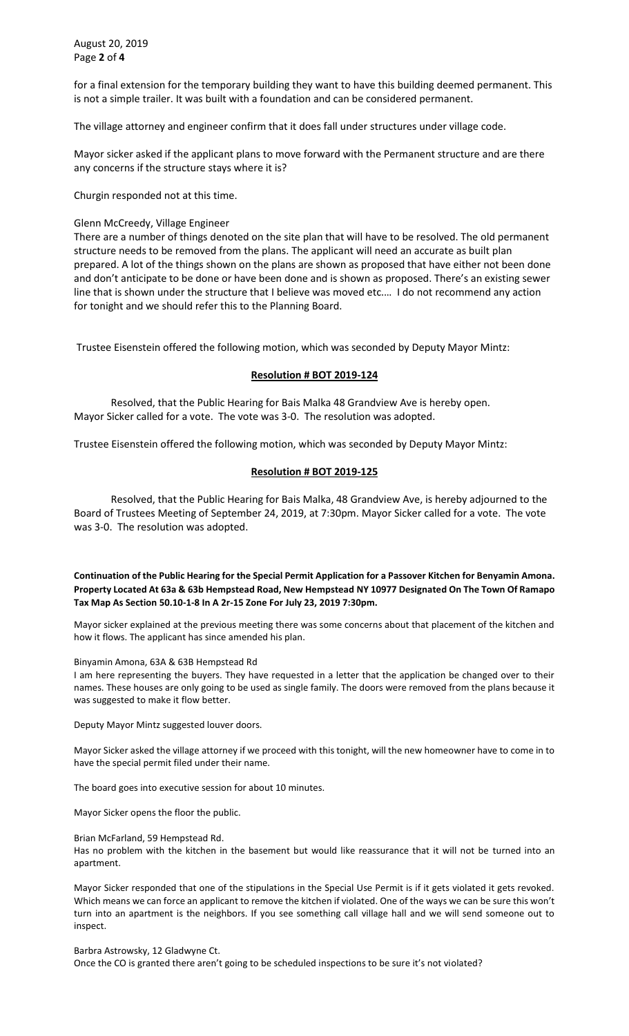August 20, 2019 Page **2** of **4**

for a final extension for the temporary building they want to have this building deemed permanent. This is not a simple trailer. It was built with a foundation and can be considered permanent.

The village attorney and engineer confirm that it does fall under structures under village code.

Mayor sicker asked if the applicant plans to move forward with the Permanent structure and are there any concerns if the structure stays where it is?

Churgin responded not at this time.

### Glenn McCreedy, Village Engineer

There are a number of things denoted on the site plan that will have to be resolved. The old permanent structure needs to be removed from the plans. The applicant will need an accurate as built plan prepared. A lot of the things shown on the plans are shown as proposed that have either not been done and don't anticipate to be done or have been done and is shown as proposed. There's an existing sewer line that is shown under the structure that I believe was moved etc.… I do not recommend any action for tonight and we should refer this to the Planning Board.

Trustee Eisenstein offered the following motion, which was seconded by Deputy Mayor Mintz:

### **Resolution # BOT 2019-124**

Resolved, that the Public Hearing for Bais Malka 48 Grandview Ave is hereby open. Mayor Sicker called for a vote. The vote was 3-0. The resolution was adopted.

Trustee Eisenstein offered the following motion, which was seconded by Deputy Mayor Mintz:

### **Resolution # BOT 2019-125**

Resolved, that the Public Hearing for Bais Malka, 48 Grandview Ave, is hereby adjourned to the Board of Trustees Meeting of September 24, 2019, at 7:30pm. Mayor Sicker called for a vote. The vote was 3-0. The resolution was adopted.

**Continuation of the Public Hearing for the Special Permit Application for a Passover Kitchen for Benyamin Amona. Property Located At 63a & 63b Hempstead Road, New Hempstead NY 10977 Designated On The Town Of Ramapo Tax Map As Section 50.10-1-8 In A 2r-15 Zone For July 23, 2019 7:30pm.** 

Mayor sicker explained at the previous meeting there was some concerns about that placement of the kitchen and how it flows. The applicant has since amended his plan.

#### Binyamin Amona, 63A & 63B Hempstead Rd

I am here representing the buyers. They have requested in a letter that the application be changed over to their names. These houses are only going to be used as single family. The doors were removed from the plans because it was suggested to make it flow better.

Deputy Mayor Mintz suggested louver doors.

Mayor Sicker asked the village attorney if we proceed with this tonight, will the new homeowner have to come in to have the special permit filed under their name.

The board goes into executive session for about 10 minutes.

Mayor Sicker opens the floor the public.

Brian McFarland, 59 Hempstead Rd.

Has no problem with the kitchen in the basement but would like reassurance that it will not be turned into an apartment.

Mayor Sicker responded that one of the stipulations in the Special Use Permit is if it gets violated it gets revoked. Which means we can force an applicant to remove the kitchen if violated. One of the ways we can be sure this won't turn into an apartment is the neighbors. If you see something call village hall and we will send someone out to inspect.

Barbra Astrowsky, 12 Gladwyne Ct. Once the CO is granted there aren't going to be scheduled inspections to be sure it's not violated?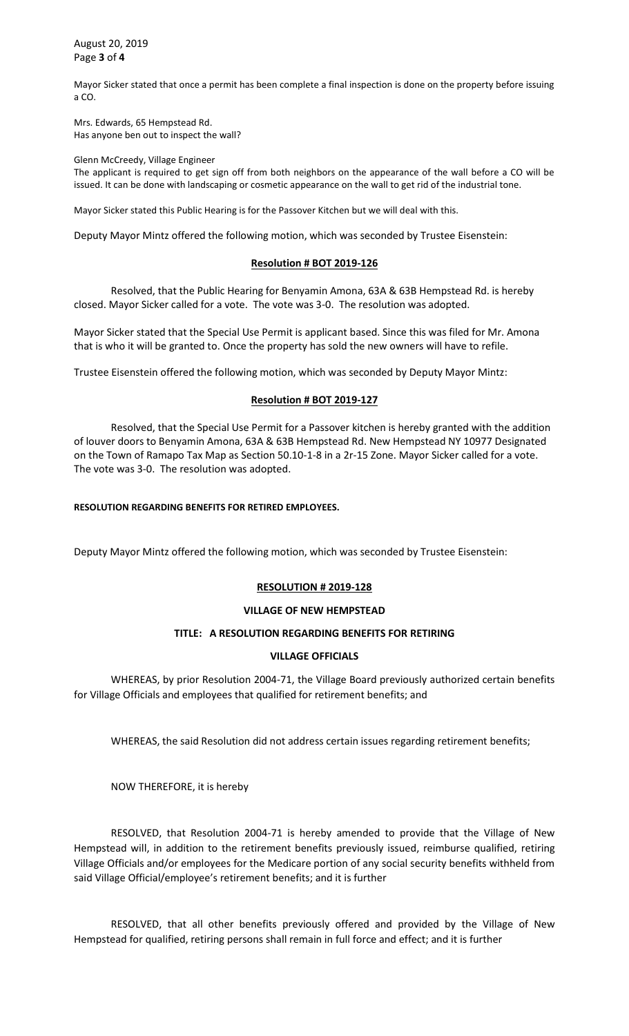August 20, 2019 Page **3** of **4**

Mayor Sicker stated that once a permit has been complete a final inspection is done on the property before issuing a CO.

Mrs. Edwards, 65 Hempstead Rd. Has anyone ben out to inspect the wall?

Glenn McCreedy, Village Engineer

The applicant is required to get sign off from both neighbors on the appearance of the wall before a CO will be issued. It can be done with landscaping or cosmetic appearance on the wall to get rid of the industrial tone.

Mayor Sicker stated this Public Hearing is for the Passover Kitchen but we will deal with this.

Deputy Mayor Mintz offered the following motion, which was seconded by Trustee Eisenstein:

### **Resolution # BOT 2019-126**

Resolved, that the Public Hearing for Benyamin Amona, 63A & 63B Hempstead Rd. is hereby closed. Mayor Sicker called for a vote. The vote was 3-0. The resolution was adopted.

Mayor Sicker stated that the Special Use Permit is applicant based. Since this was filed for Mr. Amona that is who it will be granted to. Once the property has sold the new owners will have to refile.

Trustee Eisenstein offered the following motion, which was seconded by Deputy Mayor Mintz:

## **Resolution # BOT 2019-127**

Resolved, that the Special Use Permit for a Passover kitchen is hereby granted with the addition of louver doors to Benyamin Amona, 63A & 63B Hempstead Rd. New Hempstead NY 10977 Designated on the Town of Ramapo Tax Map as Section 50.10-1-8 in a 2r-15 Zone. Mayor Sicker called for a vote. The vote was 3-0. The resolution was adopted.

### **RESOLUTION REGARDING BENEFITS FOR RETIRED EMPLOYEES.**

Deputy Mayor Mintz offered the following motion, which was seconded by Trustee Eisenstein:

#### **RESOLUTION # 2019-128**

#### **VILLAGE OF NEW HEMPSTEAD**

## **TITLE: A RESOLUTION REGARDING BENEFITS FOR RETIRING**

## **VILLAGE OFFICIALS**

WHEREAS, by prior Resolution 2004-71, the Village Board previously authorized certain benefits for Village Officials and employees that qualified for retirement benefits; and

WHEREAS, the said Resolution did not address certain issues regarding retirement benefits;

NOW THEREFORE, it is hereby

RESOLVED, that Resolution 2004-71 is hereby amended to provide that the Village of New Hempstead will, in addition to the retirement benefits previously issued, reimburse qualified, retiring Village Officials and/or employees for the Medicare portion of any social security benefits withheld from said Village Official/employee's retirement benefits; and it is further

RESOLVED, that all other benefits previously offered and provided by the Village of New Hempstead for qualified, retiring persons shall remain in full force and effect; and it is further